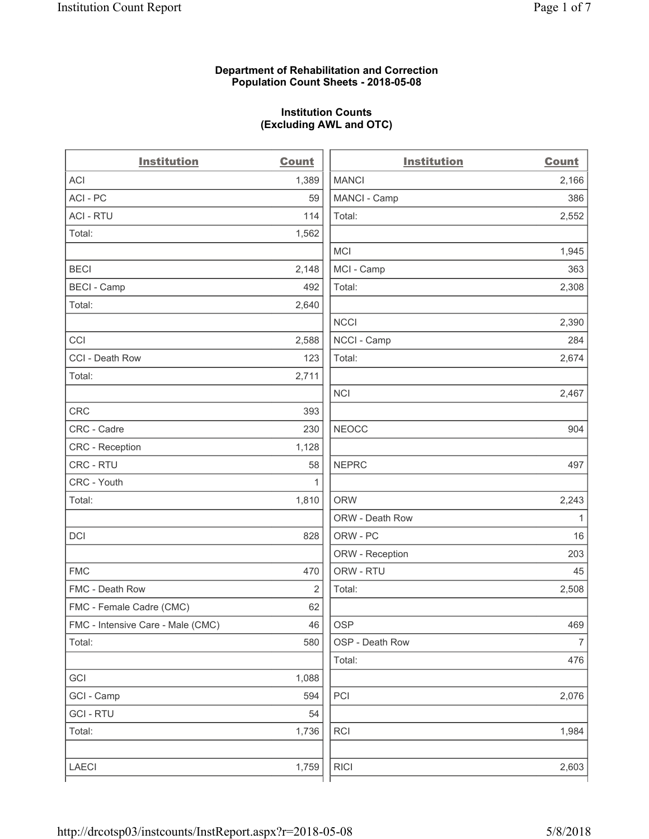## **Department of Rehabilitation and Correction Population Count Sheets - 2018-05-08**

# **Institution Counts (Excluding AWL and OTC)**

. .

| <b>Institution</b>                | <b>Count</b> | <b>Institution</b> | <b>Count</b>   |
|-----------------------------------|--------------|--------------------|----------------|
| <b>ACI</b>                        | 1,389        | <b>MANCI</b>       | 2,166          |
| ACI - PC                          | 59           | MANCI - Camp       | 386            |
| <b>ACI - RTU</b>                  | 114          | Total:             | 2,552          |
| Total:                            | 1,562        |                    |                |
|                                   |              | <b>MCI</b>         | 1,945          |
| <b>BECI</b>                       | 2,148        | MCI - Camp         | 363            |
| <b>BECI</b> - Camp                | 492          | Total:             | 2,308          |
| Total:                            | 2,640        |                    |                |
|                                   |              | <b>NCCI</b>        | 2,390          |
| CCI                               | 2,588        | NCCI - Camp        | 284            |
| CCI - Death Row                   | 123          | Total:             | 2,674          |
| Total:                            | 2,711        |                    |                |
|                                   |              | <b>NCI</b>         | 2,467          |
| <b>CRC</b>                        | 393          |                    |                |
| CRC - Cadre                       | 230          | <b>NEOCC</b>       | 904            |
| CRC - Reception                   | 1,128        |                    |                |
| CRC - RTU                         | 58           | <b>NEPRC</b>       | 497            |
| CRC - Youth                       | 1            |                    |                |
| Total:                            | 1,810        | <b>ORW</b>         | 2,243          |
|                                   |              | ORW - Death Row    | 1              |
| DCI                               | 828          | ORW - PC           | 16             |
|                                   |              | ORW - Reception    | 203            |
| <b>FMC</b>                        | 470          | ORW - RTU          | 45             |
| FMC - Death Row                   | 2            | Total:             | 2,508          |
| FMC - Female Cadre (CMC)          | 62           |                    |                |
| FMC - Intensive Care - Male (CMC) | 46           | OSP                | 469            |
| Total:                            | 580          | OSP - Death Row    | $\overline{7}$ |
|                                   |              | Total:             | 476            |
| GCI                               | 1,088        |                    |                |
| GCI - Camp                        | 594          | PCI                | 2,076          |
| <b>GCI-RTU</b>                    | 54           |                    |                |
| Total:                            | 1,736        | RCI                | 1,984          |
|                                   |              |                    |                |
| LAECI                             | 1,759        | <b>RICI</b>        | 2,603          |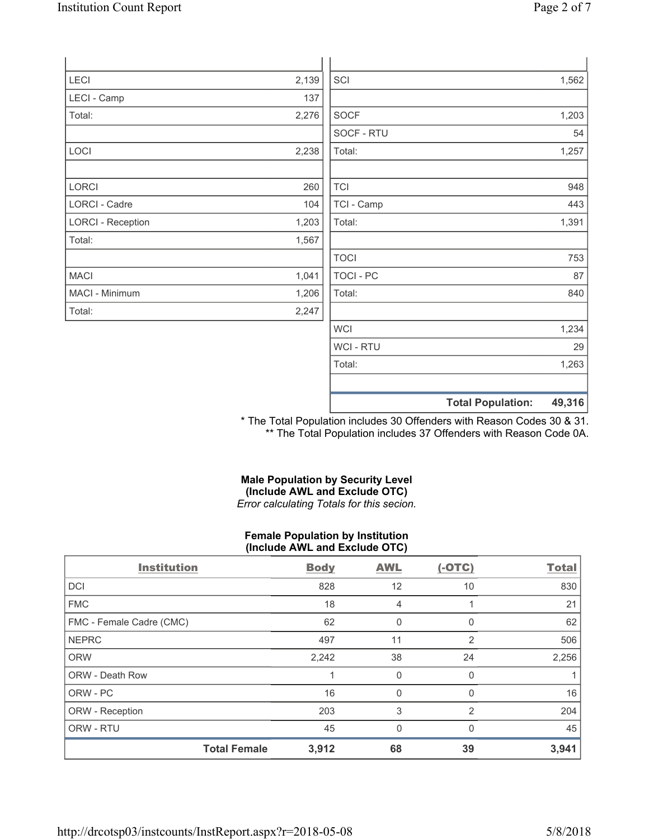|                          |       |                  | <b>Total Population:</b> | 49,316 |
|--------------------------|-------|------------------|--------------------------|--------|
|                          |       |                  |                          |        |
|                          |       | Total:           |                          | 1,263  |
|                          |       | WCI - RTU        |                          | 29     |
|                          |       | <b>WCI</b>       |                          | 1,234  |
| Total:                   | 2,247 |                  |                          |        |
| MACI - Minimum           | 1,206 | Total:           |                          | 840    |
| <b>MACI</b>              | 1,041 | <b>TOCI - PC</b> |                          | 87     |
|                          |       | <b>TOCI</b>      |                          | 753    |
| Total:                   | 1,567 |                  |                          |        |
| <b>LORCI - Reception</b> | 1,203 | Total:           |                          | 1,391  |
| <b>LORCI - Cadre</b>     | 104   | TCI - Camp       |                          | 443    |
| LORCI                    | 260   | <b>TCI</b>       |                          | 948    |
|                          |       |                  |                          |        |
| LOCI                     | 2,238 | Total:           |                          | 1,257  |
|                          |       | SOCF - RTU       |                          | 54     |
| Total:                   | 2,276 | <b>SOCF</b>      |                          | 1,203  |
| LECI - Camp              | 137   |                  |                          |        |
| LECI                     | 2,139 | SCI              |                          | 1,562  |
|                          |       |                  |                          |        |

\* The Total Population includes 30 Offenders with Reason Codes 30 & 31. \*\* The Total Population includes 37 Offenders with Reason Code 0A.

## **Male Population by Security Level (Include AWL and Exclude OTC)**  *Error calculating Totals for this secion.*

#### **Female Population by Institution (Include AWL and Exclude OTC)**

| <b>Institution</b>       |                     | <b>Body</b> | <b>AWL</b>   | $(-OTC)$       | <b>Total</b> |
|--------------------------|---------------------|-------------|--------------|----------------|--------------|
| <b>DCI</b>               |                     | 828         | 12           | 10             | 830          |
| <b>FMC</b>               |                     | 18          | 4            |                | 21           |
| FMC - Female Cadre (CMC) |                     | 62          | 0            | 0              | 62           |
| <b>NEPRC</b>             |                     | 497         | 11           | $\overline{2}$ | 506          |
| <b>ORW</b>               |                     | 2,242       | 38           | 24             | 2,256        |
| ORW - Death Row          |                     |             | 0            | 0              |              |
| ORW - PC                 |                     | 16          | $\mathbf 0$  | 0              | 16           |
| ORW - Reception          |                     | 203         | 3            | 2              | 204          |
| ORW - RTU                |                     | 45          | $\mathbf{0}$ | $\Omega$       | 45           |
|                          | <b>Total Female</b> | 3,912       | 68           | 39             | 3,941        |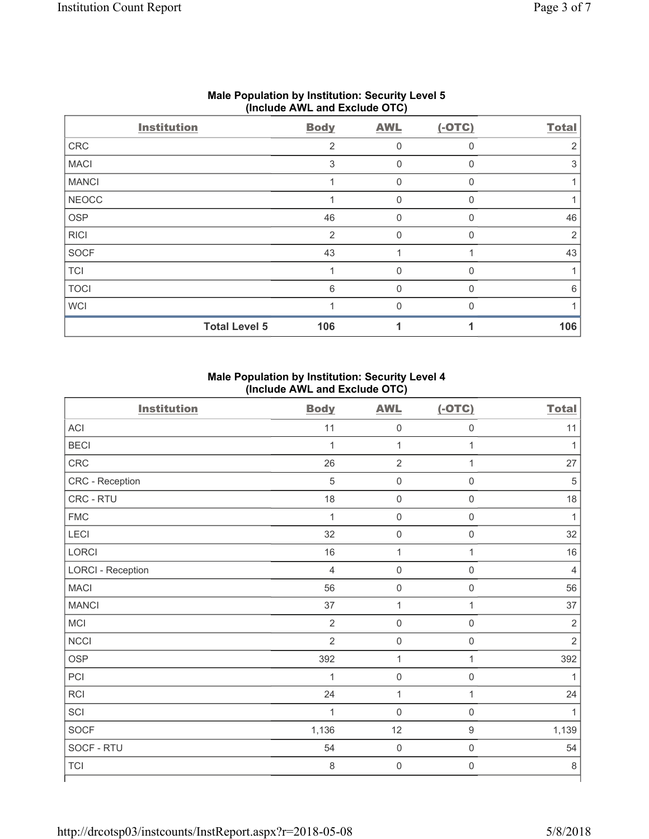|              | <b>Institution</b>   | <b>Body</b>    | <b>AWL</b>  | $(-OTC)$ | <b>Total</b> |  |  |
|--------------|----------------------|----------------|-------------|----------|--------------|--|--|
| ${\sf CRC}$  |                      | $\overline{2}$ | 0           | $\Omega$ |              |  |  |
| <b>MACI</b>  |                      | 3              | 0           | $\Omega$ | 3            |  |  |
| <b>MANCI</b> |                      |                | $\mathbf 0$ | $\Omega$ |              |  |  |
| <b>NEOCC</b> |                      |                | 0           | $\Omega$ |              |  |  |
| <b>OSP</b>   |                      | 46             | 0           | $\Omega$ | 46           |  |  |
| <b>RICI</b>  |                      | $\overline{2}$ | 0           | O        | 2            |  |  |
| SOCF         |                      | 43             |             |          | 43           |  |  |
| <b>TCI</b>   |                      |                | 0           | $\Omega$ |              |  |  |
| <b>TOCI</b>  |                      | 6              | 0           | $\Omega$ | 6            |  |  |
| <b>WCI</b>   |                      |                | O           |          |              |  |  |
|              | <b>Total Level 5</b> | 106            |             |          | 106          |  |  |

# **Male Population by Institution: Security Level 5 (Include AWL and Exclude OTC)**

# **Male Population by Institution: Security Level 4 (Include AWL and Exclude OTC)**

| <b>Institution</b>       | <b>Body</b>    | <b>AWL</b>          | $(-OTC)$            | <b>Total</b>   |
|--------------------------|----------------|---------------------|---------------------|----------------|
| ACI                      | 11             | $\mathsf 0$         | $\boldsymbol{0}$    | 11             |
| <b>BECI</b>              | 1              | 1                   | 1                   | 1              |
| CRC                      | 26             | $\overline{2}$      | $\mathbf{1}$        | 27             |
| CRC - Reception          | 5              | $\mathsf{O}\xspace$ | $\boldsymbol{0}$    | 5              |
| CRC - RTU                | 18             | $\mathsf{O}\xspace$ | $\mathbf 0$         | 18             |
| ${\sf FMC}$              | $\mathbf{1}$   | $\mathsf{O}\xspace$ | $\boldsymbol{0}$    | 1              |
| LECI                     | 32             | $\mathsf 0$         | $\mathsf{O}\xspace$ | 32             |
| LORCI                    | $16$           | $\mathbf 1$         | $\mathbf{1}$        | $16$           |
| <b>LORCI - Reception</b> | $\overline{4}$ | $\mathsf 0$         | $\mathsf{O}\xspace$ | 4              |
| <b>MACI</b>              | 56             | $\mathsf{O}\xspace$ | $\mathsf{O}\xspace$ | 56             |
| <b>MANCI</b>             | 37             | 1                   | $\mathbf{1}$        | 37             |
| <b>MCI</b>               | $\overline{2}$ | $\mathsf 0$         | $\mathsf{O}\xspace$ | $\sqrt{2}$     |
| <b>NCCI</b>              | $\overline{2}$ | $\mathsf 0$         | $\mathsf{O}\xspace$ | $\overline{2}$ |
| <b>OSP</b>               | 392            | 1                   | $\mathbf{1}$        | 392            |
| PCI                      | $\mathbf{1}$   | $\mathsf 0$         | $\mathsf{O}\xspace$ | 1              |
| RCI                      | 24             | 1                   | $\mathbf{1}$        | 24             |
| SCI                      | $\mathbf{1}$   | $\mathsf{O}\xspace$ | $\mathsf{O}\xspace$ | 1              |
| SOCF                     | 1,136          | 12                  | $\mathsf 9$         | 1,139          |
| SOCF - RTU               | 54             | $\mathsf 0$         | $\mathsf{O}\xspace$ | 54             |
| <b>TCI</b>               | 8              | $\mathsf 0$         | $\mathsf{O}\xspace$ | $\,8\,$        |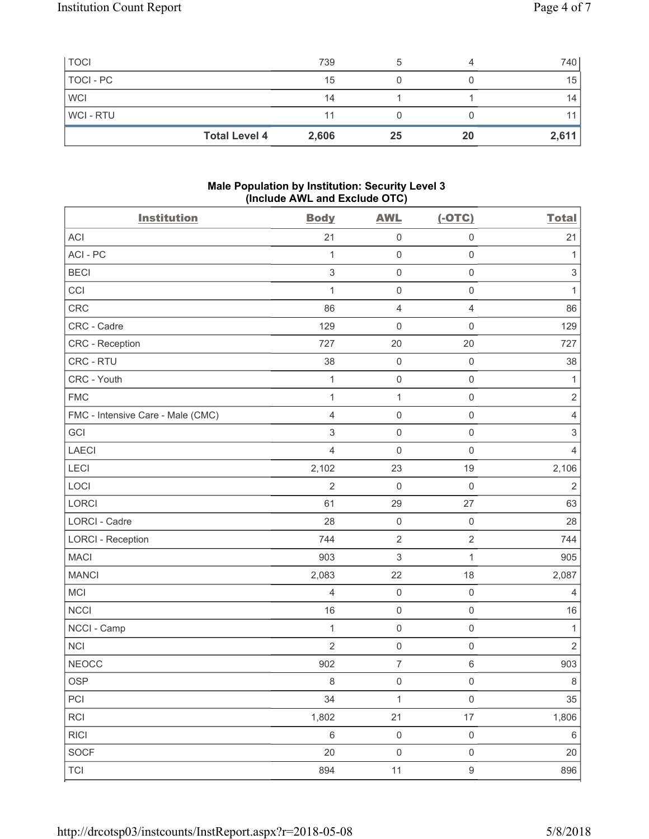| <b>TOCI</b>    |                      | 739   |    |    | 740 l |
|----------------|----------------------|-------|----|----|-------|
| TOCI - PC      |                      | 15    |    |    | 15    |
| <b>WCI</b>     |                      | 14    |    |    | 14    |
| <b>WCI-RTU</b> |                      | 11    |    |    |       |
|                | <b>Total Level 4</b> | 2,606 | 25 | 20 | 2,611 |

# **Male Population by Institution: Security Level 3 (Include AWL and Exclude OTC)**

| <b>Institution</b>                | <b>Body</b>               | <b>AWL</b>          | $(-OTC)$            | <b>Total</b>              |
|-----------------------------------|---------------------------|---------------------|---------------------|---------------------------|
| <b>ACI</b>                        | 21                        | $\mathsf 0$         | $\mathsf 0$         | 21                        |
| ACI - PC                          | 1                         | $\mathsf 0$         | $\mathsf{O}\xspace$ | $\mathbf{1}$              |
| <b>BECI</b>                       | $\mathsf 3$               | $\mathsf{O}\xspace$ | $\mathsf{O}\xspace$ | $\sqrt{3}$                |
| CCI                               | 1                         | $\mathsf{O}\xspace$ | $\mathsf{O}\xspace$ | 1                         |
| <b>CRC</b>                        | 86                        | $\overline{4}$      | $\overline{4}$      | 86                        |
| CRC - Cadre                       | 129                       | $\mathbf 0$         | $\mathsf{O}\xspace$ | 129                       |
| CRC - Reception                   | 727                       | 20                  | 20                  | 727                       |
| CRC - RTU                         | 38                        | $\mathsf 0$         | $\mathsf 0$         | 38                        |
| CRC - Youth                       | 1                         | $\mathsf 0$         | $\mathsf{O}\xspace$ | 1                         |
| <b>FMC</b>                        | $\mathbf{1}$              | $\mathbf{1}$        | $\mathsf{O}\xspace$ | $\overline{2}$            |
| FMC - Intensive Care - Male (CMC) | $\overline{4}$            | $\mathsf{O}\xspace$ | $\mathsf{O}\xspace$ | $\overline{4}$            |
| GCI                               | $\ensuremath{\mathsf{3}}$ | $\mathsf 0$         | $\mathsf{O}\xspace$ | $\ensuremath{\mathsf{3}}$ |
| <b>LAECI</b>                      | 4                         | $\mathbf 0$         | $\mathsf{O}\xspace$ | $\overline{4}$            |
| LECI                              | 2,102                     | 23                  | 19                  | 2,106                     |
| LOCI                              | $\overline{2}$            | $\mathbf 0$         | $\mathsf 0$         | $\overline{2}$            |
| LORCI                             | 61                        | 29                  | 27                  | 63                        |
| LORCI - Cadre                     | 28                        | $\mathsf 0$         | $\mathsf{O}\xspace$ | 28                        |
| <b>LORCI - Reception</b>          | 744                       | $\mathbf 2$         | $\overline{2}$      | 744                       |
| <b>MACI</b>                       | 903                       | $\,$ 3 $\,$         | $\mathbf{1}$        | 905                       |
| <b>MANCI</b>                      | 2,083                     | 22                  | 18                  | 2,087                     |
| <b>MCI</b>                        | $\overline{4}$            | $\mathsf 0$         | $\mathsf{O}\xspace$ | $\overline{4}$            |
| <b>NCCI</b>                       | 16                        | $\mathsf 0$         | $\mathsf{O}\xspace$ | 16                        |
| NCCI - Camp                       | 1                         | $\mathsf 0$         | $\mathsf{O}\xspace$ | 1                         |
| <b>NCI</b>                        | $\overline{2}$            | $\mathsf{O}\xspace$ | $\mathsf{O}\xspace$ | $\overline{2}$            |
| <b>NEOCC</b>                      | 902                       | $\boldsymbol{7}$    | 6                   | 903                       |
| OSP                               | $\,8\,$                   | $\mathsf{O}\xspace$ | $\mathsf{O}\xspace$ | $\bf 8$                   |
| PCI                               | 34                        | $\mathbf{1}$        | $\mathsf{O}\xspace$ | $35\,$                    |
| RCI                               | 1,802                     | 21                  | $17\,$              | 1,806                     |
| <b>RICI</b>                       | $\,6\,$                   | $\mathsf{O}\xspace$ | $\mathsf{O}\xspace$ | $\,6\,$                   |
| SOCF                              | 20                        | $\mathsf 0$         | $\mathsf{O}\xspace$ | 20                        |
| <b>TCI</b>                        | 894                       | 11                  | $\boldsymbol{9}$    | 896                       |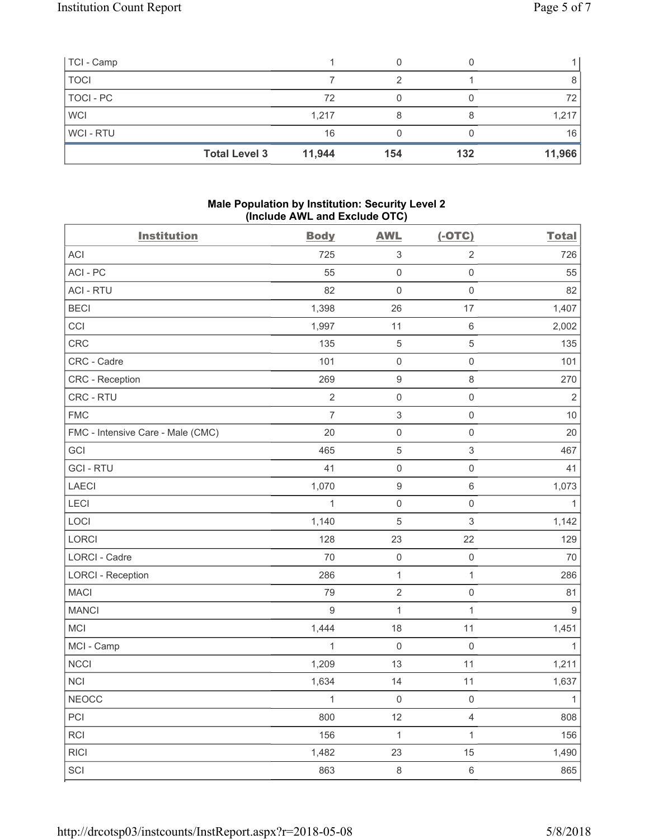| TCI - Camp  |                      |        |     |     |        |
|-------------|----------------------|--------|-----|-----|--------|
| <b>TOCI</b> |                      |        | っ   |     |        |
| TOCI - PC   |                      | 72     |     |     | 72     |
| <b>WCI</b>  |                      | 1,217  |     |     | 1,217  |
| WCI-RTU     |                      | 16     |     |     | 16     |
|             | <b>Total Level 3</b> | 11,944 | 154 | 132 | 11,966 |

## **Male Population by Institution: Security Level 2 (Include AWL and Exclude OTC)**

| <b>Institution</b>                | <b>Body</b>      | <b>AWL</b>                | $(-OTC)$            | <b>Total</b>   |
|-----------------------------------|------------------|---------------------------|---------------------|----------------|
| ACI                               | 725              | $\ensuremath{\mathsf{3}}$ | $\overline{2}$      | 726            |
| ACI - PC                          | 55               | $\mathsf{O}\xspace$       | $\mathsf{O}\xspace$ | 55             |
| <b>ACI - RTU</b>                  | 82               | $\mathbf 0$               | $\mathsf 0$         | 82             |
| <b>BECI</b>                       | 1,398            | 26                        | 17                  | 1,407          |
| CCI                               | 1,997            | 11                        | $\,6\,$             | 2,002          |
| CRC                               | 135              | $\sqrt{5}$                | $\,$ 5 $\,$         | 135            |
| CRC - Cadre                       | 101              | $\mathsf{O}\xspace$       | $\mathsf{O}\xspace$ | 101            |
| CRC - Reception                   | 269              | $\boldsymbol{9}$          | 8                   | 270            |
| CRC - RTU                         | $\overline{2}$   | $\mathsf{O}\xspace$       | $\mathsf{O}\xspace$ | $\overline{2}$ |
| <b>FMC</b>                        | $\overline{7}$   | $\ensuremath{\mathsf{3}}$ | $\mathsf{O}\xspace$ | 10             |
| FMC - Intensive Care - Male (CMC) | 20               | $\mathsf{O}\xspace$       | $\mathsf{O}\xspace$ | 20             |
| GCI                               | 465              | $\mathbf 5$               | $\mathsf 3$         | 467            |
| <b>GCI-RTU</b>                    | 41               | $\mathsf{O}\xspace$       | $\mathsf{O}\xspace$ | 41             |
| LAECI                             | 1,070            | $\boldsymbol{9}$          | $\,6$               | 1,073          |
| LECI                              | 1                | $\mathsf{O}\xspace$       | $\mathsf{O}\xspace$ | $\mathbf{1}$   |
| LOCI                              | 1,140            | 5                         | 3                   | 1,142          |
| LORCI                             | 128              | 23                        | 22                  | 129            |
| LORCI - Cadre                     | 70               | $\mathsf{O}\xspace$       | $\mathsf 0$         | 70             |
| <b>LORCI - Reception</b>          | 286              | $\mathbf{1}$              | $\mathbf{1}$        | 286            |
| <b>MACI</b>                       | 79               | $\mathbf 2$               | $\mathsf{O}\xspace$ | 81             |
| <b>MANCI</b>                      | $\boldsymbol{9}$ | $\mathbf{1}$              | $\mathbf{1}$        | 9              |
| MCI                               | 1,444            | 18                        | 11                  | 1,451          |
| MCI - Camp                        | 1                | $\mathsf{O}\xspace$       | $\mathbf 0$         | $\mathbf{1}$   |
| <b>NCCI</b>                       | 1,209            | 13                        | 11                  | 1,211          |
| NCI                               | 1,634            | 14                        | 11                  | 1,637          |
| <b>NEOCC</b>                      | -1               | 0                         | 0                   | 1              |
| PCI                               | 800              | 12                        | $\overline{4}$      | 808            |
| RCI                               | 156              | $\mathbf{1}$              | $\mathbf{1}$        | 156            |
| <b>RICI</b>                       | 1,482            | 23                        | 15                  | 1,490          |
| SCI                               | 863              | $\,8\,$                   | $\,6\,$             | 865            |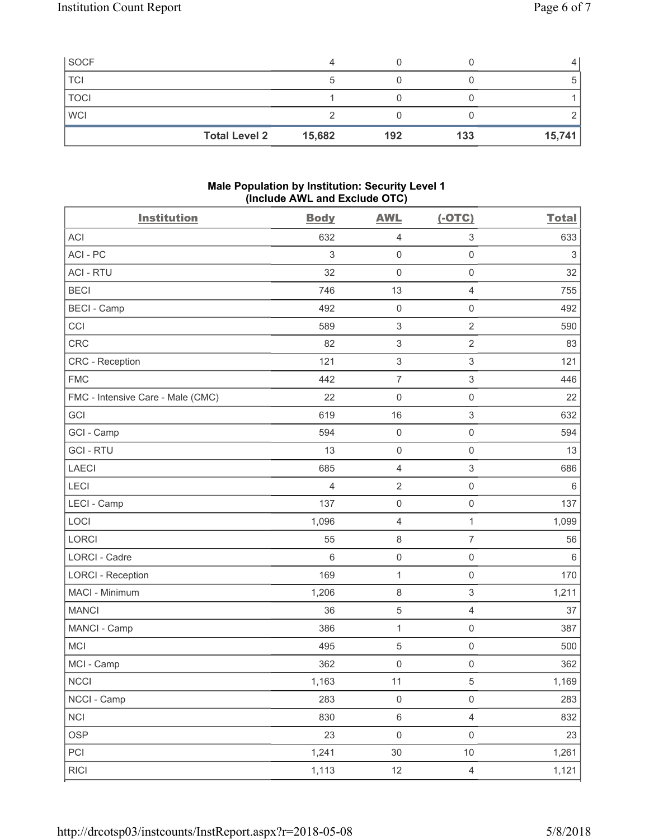| <b>Total Level 2</b> | 15,682 | 192 | 133 | 15,741 |
|----------------------|--------|-----|-----|--------|
| <b>WCI</b>           |        |     |     |        |
| <b>TOCI</b>          |        |     |     |        |
| TCI                  |        |     |     |        |
| SOCF                 |        |     |     |        |

# **Male Population by Institution: Security Level 1 (Include AWL and Exclude OTC)**

| <b>Institution</b>                | <b>Body</b>    | <b>AWL</b>                | $(-OTC)$                  | <b>Total</b> |
|-----------------------------------|----------------|---------------------------|---------------------------|--------------|
| <b>ACI</b>                        | 632            | 4                         | 3                         | 633          |
| ACI - PC                          | $\sqrt{3}$     | $\mathsf{0}$              | $\mathsf{O}\xspace$       | $\sqrt{3}$   |
| <b>ACI - RTU</b>                  | 32             | $\mathsf{O}\xspace$       | $\mathsf 0$               | 32           |
| <b>BECI</b>                       | 746            | 13                        | 4                         | 755          |
| <b>BECI</b> - Camp                | 492            | $\mathsf{O}\xspace$       | $\mathsf{O}\xspace$       | 492          |
| CCI                               | 589            | $\ensuremath{\mathsf{3}}$ | $\overline{2}$            | 590          |
| CRC                               | 82             | $\ensuremath{\mathsf{3}}$ | $\overline{2}$            | 83           |
| <b>CRC</b> - Reception            | 121            | $\ensuremath{\mathsf{3}}$ | $\,$ 3 $\,$               | 121          |
| <b>FMC</b>                        | 442            | $\overline{7}$            | $\ensuremath{\mathsf{3}}$ | 446          |
| FMC - Intensive Care - Male (CMC) | 22             | $\mathsf{O}\xspace$       | $\mathsf{O}\xspace$       | 22           |
| GCI                               | 619            | 16                        | $\,$ 3 $\,$               | 632          |
| GCI - Camp                        | 594            | $\mathsf{O}\xspace$       | $\mathsf{O}\xspace$       | 594          |
| <b>GCI-RTU</b>                    | 13             | $\mathsf{O}\xspace$       | $\mathsf{O}\xspace$       | 13           |
| LAECI                             | 685            | 4                         | $\ensuremath{\mathsf{3}}$ | 686          |
| LECI                              | $\overline{4}$ | $\sqrt{2}$                | $\mathsf{O}\xspace$       | $\,6\,$      |
| LECI - Camp                       | 137            | $\mathsf{O}\xspace$       | $\mathsf 0$               | 137          |
| LOCI                              | 1,096          | $\overline{4}$            | $\mathbf{1}$              | 1,099        |
| <b>LORCI</b>                      | 55             | $\,8\,$                   | $\overline{7}$            | 56           |
| <b>LORCI - Cadre</b>              | $6\phantom{1}$ | $\mathsf{O}\xspace$       | $\mathsf{O}\xspace$       | $\,6\,$      |
| <b>LORCI - Reception</b>          | 169            | $\mathbf{1}$              | $\mathsf{O}\xspace$       | 170          |
| MACI - Minimum                    | 1,206          | $\,8\,$                   | 3                         | 1,211        |
| <b>MANCI</b>                      | 36             | $\mathbf 5$               | 4                         | 37           |
| MANCI - Camp                      | 386            | $\mathbf{1}$              | $\mathsf 0$               | 387          |
| MCI                               | 495            | $\,$ 5 $\,$               | $\mathsf{O}\xspace$       | 500          |
| MCI - Camp                        | 362            | $\mathsf{O}\xspace$       | 0                         | 362          |
| <b>NCCI</b>                       | 1,163          | 11                        | $\,$ 5 $\,$               | 1,169        |
| NCCI - Camp                       | 283            | $\mathsf{O}\xspace$       | $\mathsf{O}\xspace$       | 283          |
| <b>NCI</b>                        | 830            | $\,6\,$                   | $\overline{4}$            | 832          |
| <b>OSP</b>                        | 23             | $\mathsf{O}\xspace$       | $\mathsf{O}\xspace$       | 23           |
| PCI                               | 1,241          | 30                        | $10$                      | 1,261        |
| <b>RICI</b>                       | 1,113          | 12                        | $\overline{4}$            | 1,121        |